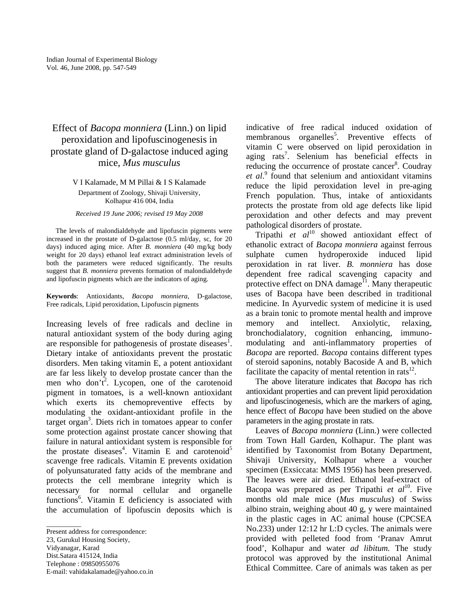## Effect of *Bacopa monniera* (Linn.) on lipid peroxidation and lipofuscinogenesis in prostate gland of D-galactose induced aging mice, *Mus musculus*

V I Kalamade, M M Pillai & I S Kalamade Department of Zoology, Shivaji University,

Kolhapur 416 004, India

## *Received 19 June 2006; revised 19 May 2008*

The levels of malondialdehyde and lipofuscin pigments were increased in the prostate of D-galactose (0.5 ml/day, sc, for 20 days) induced aging mice. After *B. monniera* (40 mg/kg body weight for 20 days) ethanol leaf extract administration levels of both the parameters were reduced significantly. The results suggest that *B. monniera* prevents formation of malondialdehyde and lipofuscin pigments which are the indicators of aging.

**Keywords**: Antioxidants, *Bacopa monniera*, D-galactose, Free radicals, Lipid peroxidation, Lipofuscin pigments

Increasing levels of free radicals and decline in natural antioxidant system of the body during aging are responsible for pathogenesis of prostate diseases<sup>1</sup>. Dietary intake of antioxidants prevent the prostatic disorders. Men taking vitamin E, a potent antioxidant are far less likely to develop prostate cancer than the men who don't<sup>2</sup>. Lycopen, one of the carotenoid pigment in tomatoes, is a well-known antioxidant which exerts its chemopreventive effects by modulating the oxidant-antioxidant profile in the target organ<sup>3</sup>. Diets rich in tomatoes appear to confer some protection against prostate cancer showing that failure in natural antioxidant system is responsible for the prostate diseases<sup>4</sup>. Vitamin E and carotenoid<sup>5</sup> scavenge free radicals. Vitamin E prevents oxidation of polyunsaturated fatty acids of the membrane and protects the cell membrane integrity which is necessary for normal cellular and organelle functions<sup>6</sup>. Vitamin E deficiency is associated with the accumulation of lipofuscin deposits which is

23, Gurukul Housing Society,

 $\overline{\phantom{a}}$   $\overline{\phantom{a}}$   $\overline{\phantom{a}}$   $\overline{\phantom{a}}$   $\overline{\phantom{a}}$   $\overline{\phantom{a}}$   $\overline{\phantom{a}}$   $\overline{\phantom{a}}$   $\overline{\phantom{a}}$   $\overline{\phantom{a}}$   $\overline{\phantom{a}}$   $\overline{\phantom{a}}$   $\overline{\phantom{a}}$   $\overline{\phantom{a}}$   $\overline{\phantom{a}}$   $\overline{\phantom{a}}$   $\overline{\phantom{a}}$   $\overline{\phantom{a}}$   $\overline{\$ 

E-mail: vahidakalamade@yahoo.co.in

indicative of free radical induced oxidation of membranous organelles<sup>5</sup>. Preventive effects of vitamin C were observed on lipid peroxidation in aging rats<sup>7</sup>. Selenium has beneficial effects in reducing the occurrence of prostate cancer<sup>8</sup>. Coudray *et al*. 9 found that selenium and antioxidant vitamins reduce the lipid peroxidation level in pre-aging French population. Thus, intake of antioxidants protects the prostate from old age defects like lipid peroxidation and other defects and may prevent pathological disorders of prostate.

Tripathi et al<sup>10</sup> showed antioxidant effect of ethanolic extract of *Bacopa monniera* against ferrous sulphate cumen hydroperoxide induced lipid peroxidation in rat liver. *B. monniera* has dose dependent free radical scavenging capacity and protective effect on DNA damage<sup> $H$ </sup>. Many therapeutic uses of Bacopa have been described in traditional medicine. In Ayurvedic system of medicine it is used as a brain tonic to promote mental health and improve memory and intellect. Anxiolytic, relaxing, bronchodialatory, cognition enhancing, immunomodulating and anti-inflammatory properties of *Bacopa* are reported. *Bacopa* contains different types of steroid saponins, notably Bacoside A and B, which facilitate the capacity of mental retention in rats<sup>12</sup>.

The above literature indicates that *Bacopa* has rich antioxidant properties and can prevent lipid peroxidation and lipofuscinogenesis, which are the markers of aging, hence effect of *Bacopa* have been studied on the above parameters in the aging prostate in rats.

Leaves of *Bacopa monniera* (Linn.) were collected from Town Hall Garden, Kolhapur. The plant was identified by Taxonomist from Botany Department, Shivaji University, Kolhapur where a voucher specimen (Exsiccata: MMS 1956) has been preserved. The leaves were air dried. Ethanol leaf-extract of Bacopa was prepared as per Tripathi *et al*<sup>10</sup>. Five months old male mice (*Mus musculus*) of Swiss albino strain, weighing about 40 g, y were maintained in the plastic cages in AC animal house (CPCSEA No.233) under 12:12 hr L:D cycles. The animals were provided with pelleted food from 'Pranav Amrut food', Kolhapur and water *ad libitum.* The study protocol was approved by the institutional Animal Ethical Committee. Care of animals was taken as per

Present address for correspondence:

Vidyanagar, Karad Dist.Satara 415124, India

Telephone : 09850955076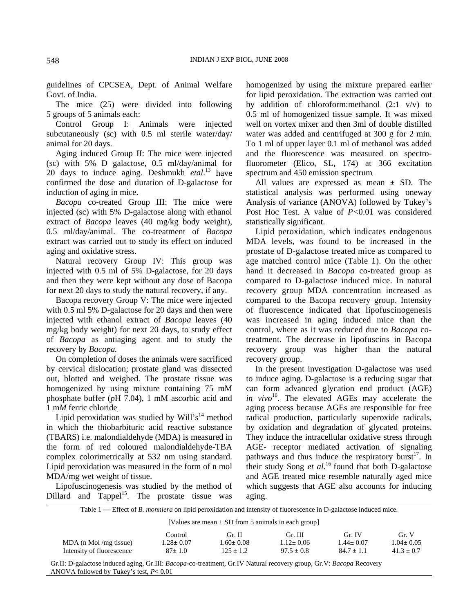guidelines of CPCSEA, Dept. of Animal Welfare Govt. of India.

The mice (25) were divided into following 5 groups of 5 animals each:

Control Group I: Animals were injected subcutaneously (sc) with 0.5 ml sterile water/day/ animal for 20 days.

Aging induced Group II: The mice were injected (sc) with 5% D galactose, 0.5 ml/day/animal for 20 days to induce aging. Deshmukh *etal*. 13 have confirmed the dose and duration of D-galactose for induction of aging in mice.

*Bacopa* co-treated Group III: The mice were injected (sc) with 5% D-galactose along with ethanol extract of *Bacopa* leaves (40 mg/kg body weight), 0.5 ml/day/animal. The co-treatment of *Bacopa* extract was carried out to study its effect on induced aging and oxidative stress.

Natural recovery Group IV: This group was injected with 0.5 ml of 5% D-galactose, for 20 days and then they were kept without any dose of Bacopa for next 20 days to study the natural recovery, if any.

Bacopa recovery Group V: The mice were injected with 0.5 ml 5% D-galactose for 20 days and then were injected with ethanol extract of *Bacopa* leaves (40 mg/kg body weight) for next 20 days, to study effect of *Bacopa* as antiaging agent and to study the recovery by *Bacopa.* 

On completion of doses the animals were sacrificed by cervical dislocation; prostate gland was dissected out, blotted and weighed. The prostate tissue was homogenized by using mixture containing 75 mM phosphate buffer (*p*H 7.04), 1 mM ascorbic acid and 1 m*M* ferric chloride.

Lipid peroxidation was studied by Will's<sup>14</sup> method in which the thiobarbituric acid reactive substance (TBARS) i.e. malondialdehyde (MDA) is measured in the form of red coloured malondialdehyde-TBA complex colorimetrically at 532 nm using standard. Lipid peroxidation was measured in the form of n mol MDA/mg wet weight of tissue.

Lipofuscinogenesis was studied by the method of Dillard and  $Tappel<sup>15</sup>$ . The prostate tissue was

homogenized by using the mixture prepared earlier for lipid peroxidation. The extraction was carried out by addition of chloroform: methanol  $(2:1 \text{ v/v})$  to 0.5 ml of homogenized tissue sample. It was mixed well on vortex mixer and then 3ml of double distilled water was added and centrifuged at 300 g for 2 min. To 1 ml of upper layer 0.1 ml of methanol was added and the fluorescence was measured on spectrofluorometer (Elico, SL, 174) at 366 excitation spectrum and 450 emission spectrum.

All values are expressed as mean ± SD. The statistical analysis was performed using oneway Analysis of variance (ANOVA) followed by Tukey's Post Hoc Test. A value of *P<*0.01 was considered statistically significant.

Lipid peroxidation, which indicates endogenous MDA levels, was found to be increased in the prostate of D-galactose treated mice as compared to age matched control mice (Table 1). On the other hand it decreased in *Bacopa* co-treated group as compared to D-galactose induced mice. In natural recovery group MDA concentration increased as compared to the Bacopa recovery group. Intensity of fluorescence indicated that lipofuscinogenesis was increased in aging induced mice than the control, where as it was reduced due to *Bacopa* cotreatment. The decrease in lipofuscins in Bacopa recovery group was higher than the natural recovery group.

In the present investigation D-galactose was used to induce aging. D-galactose is a reducing sugar that can form advanced glycation end product (AGE) *in vivo*<sup>16</sup>. The elevated AGEs may accelerate the aging process because AGEs are responsible for free radical production, particularly superoxide radicals, by oxidation and degradation of glycated proteins. They induce the intracellular oxidative stress through AGE- receptor mediated activation of signaling pathways and thus induce the respiratory burst<sup>17</sup>. In their study Song *et al*. 16 found that both D-galactose and AGE treated mice resemble naturally aged mice which suggests that AGE also accounts for inducing aging.

Table 1 — Effect of *B. monniera* on lipid peroxidation and intensity of fluorescence in D-galactose induced mice.

[Values are mean  $\pm$  SD from 5 animals in each group]

|                           | Control:        | Gr. II            | Gr. III         | Gr. IV          | Gr. V           |
|---------------------------|-----------------|-------------------|-----------------|-----------------|-----------------|
| $MDA$ (n Mol/mg tissue)   | $1.28 \pm 0.07$ | $1.60 {\pm}~0.08$ | $1.12 \pm 0.06$ | $1.44 \pm 0.07$ | $1.04 \pm 0.05$ |
| Intensity of fluorescence | $87 \pm 1.0$    | $125 + 1.2$       | $97.5 + 0.8$    | $84.7 + 1.1$    | $41.3 + 0.7$    |

Gr.II: D-galactose induced aging, Gr.III: *Bacopa*-co-treatment, Gr.IV Natural recovery group, Gr.V: *Bacopa* Recovery ANOVA followed by Tukey's test, *P*< 0.01